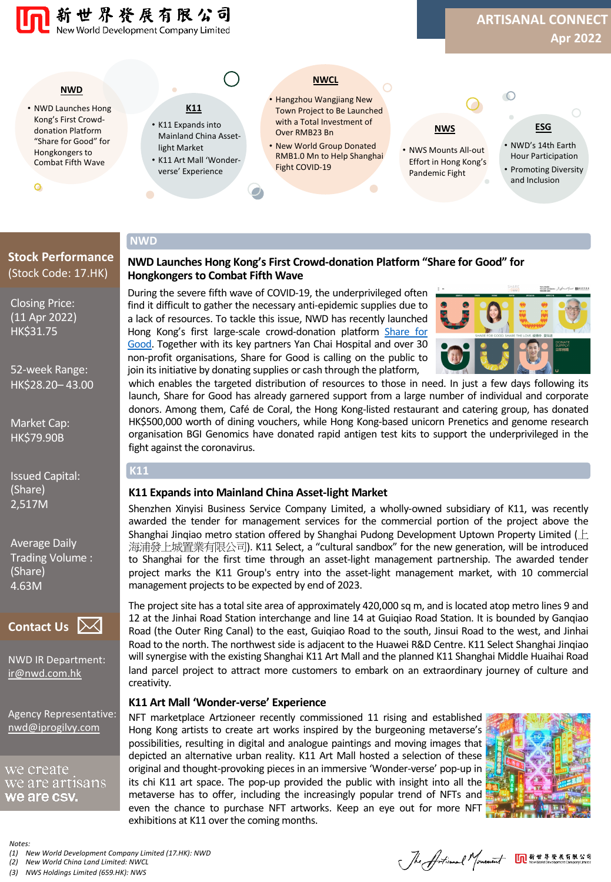

**NWD Launches Hong Kong's First Crowd-donation Platform "Share for Good" for** 

During the severe fifth wave of COVID-19, the underprivileged often find it difficult to gather the necessary anti-epidemic supplies due to a lack of resources. To tackle this issue, NWD has recently launched Hong Kong's first large-scale [crowd-donation](https://shareforgoodhk.com/en) platform Share for Good. Together with its key partners Yan Chai Hospital and over 30 non-profit organisations, Share for Good is calling on the public to join its initiative by donating supplies or cash through the platform,

#### **NWD**

**K11**

# **Stock Performance** (Stock Code: 17.HK)

Closing Price: (11 Apr 2022) HK\$31.75

52-week Range: HK\$28.20– 43.00

Market Cap: HK\$79.90B

Issued Capital: (Share) 2,517M

Average Daily Trading Volume : (Share) 4.63M



[NWD IR Departm](mailto:ir@nwd.com.hk)ent: ir@nwd.com.hk

[Agency Representat](mailto:nwd@iprogilvy.com)ive: nwd@iprogilvy.com

we create we are artısans we are csv.

*Notes:*

*(1) New World Development Company Limited (17.HK): NWD*

*(2) New World China Land Limited: NWCL*

*(3) NWS Holdings Limited (659.HK): NWS*

Jhe Articanal Monetaint On ###########

# **K11 Expands into Mainland China Asset-light Market**

fight against the coronavirus.

**Hongkongers to Combat Fifth Wave**

Shenzhen Xinyisi Business Service Company Limited, a wholly-owned subsidiary of K11, was recently awarded the tender for management services for the commercial portion of the project above the Shanghai Jinqiao metro station offered by Shanghai Pudong Development Uptown Property Limited ( $\pm$ 海浦發上城置業有限公司). K11 Select, a "cultural sandbox" for the new generation, will be introduced to Shanghai for the first time through an asset-light management partnership. The awarded tender project marks the K11 Group's entry into the asset-light management market, with 10 commercial management projects to be expected by end of 2023.

which enables the targeted distribution of resources to those in need. In just a few days following its launch, Share for Good has already garnered support from a large number of individual and corporate donors. Among them, Café de Coral, the Hong Kong-listed restaurant and catering group, has donated HK\$500,000 worth of dining vouchers, while Hong Kong-based unicorn Prenetics and genome research organisation BGI Genomics have donated rapid antigen test kits to support the underprivileged in the

The project site has a total site area of approximately 420,000 sq m, and is located atop metro lines 9 and 12 at the Jinhai Road Station interchange and line 14 at Guiqiao Road Station. It is bounded by Ganqiao Road (the Outer Ring Canal) to the east, Guiqiao Road to the south, Jinsui Road to the west, and Jinhai Road to the north. The northwest side is adjacent to the Huawei R&D Centre. K11 Select Shanghai Jinqiao will synergise with the existing Shanghai K11 Art Mall and the planned K11 Shanghai Middle Huaihai Road land parcel project to attract more customers to embark on an extraordinary journey of culture and creativity.

# **K11 Art Mall 'Wonder-verse' Experience**

NFT marketplace Artzioneer recently commissioned 11 rising and established Hong Kong artists to create art works inspired by the burgeoning metaverse's possibilities, resulting in digital and analogue paintings and moving images that depicted an alternative urban reality. K11 Art Mall hosted a selection of these original and thought-provoking pieces in an immersive 'Wonder-verse' pop-up in its chi K11 art space. The pop-up provided the public with insight into all the metaverse has to offer, including the increasingly popular trend of NFTs and even the chance to purchase NFT artworks. Keep an eye out for more NFT exhibitions at K11 over the coming months.